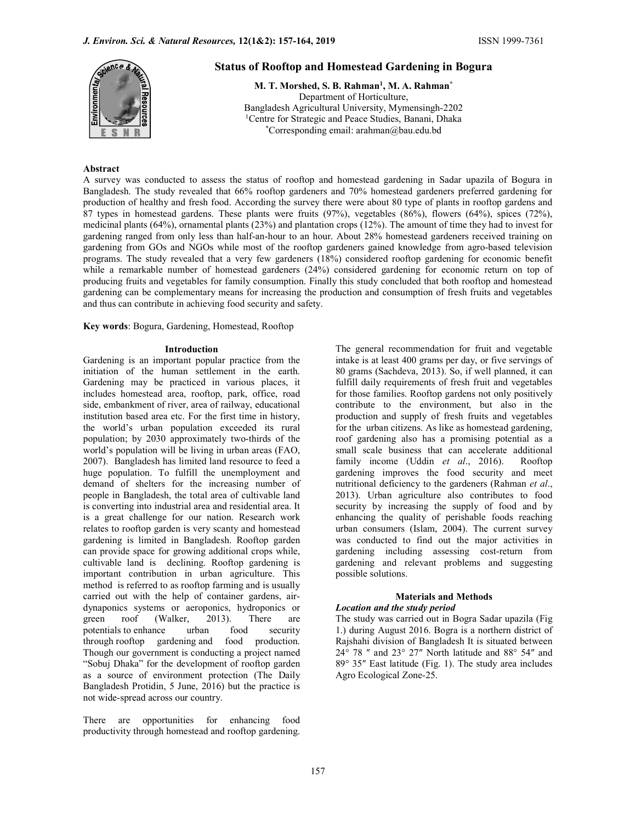

# Status of Rooftop and Homestead Gardening in Bogura

M. T. Morshed, S. B. Rahman<sup>1</sup>, M. A. Rahman<sup>\*</sup> Department of Horticulture, Bangladesh Agricultural University, Mymensingh-2202 <sup>1</sup>Centre for Strategic and Peace Studies, Banani, Dhaka \*Corresponding email: arahman@bau.edu.bd

### Abstract

A survey was conducted to assess the status of rooftop and homestead gardening in Sadar upazila of Bogura in Bangladesh. The study revealed that 66% rooftop gardeners and 70% homestead gardeners preferred gardening for production of healthy and fresh food. According the survey there were about 80 type of plants in rooftop gardens and 87 types in homestead gardens. These plants were fruits (97%), vegetables (86%), flowers (64%), spices (72%), medicinal plants (64%), ornamental plants (23%) and plantation crops (12%). The amount of time they had to invest for gardening ranged from only less than half-an-hour to an hour. About 28% homestead gardeners received training on gardening from GOs and NGOs while most of the rooftop gardeners gained knowledge from agro-based television programs. The study revealed that a very few gardeners (18%) considered rooftop gardening for economic benefit while a remarkable number of homestead gardeners (24%) considered gardening for economic return on top of producing fruits and vegetables for family consumption. Finally this study concluded that both rooftop and homestead gardening can be complementary means for increasing the production and consumption of fresh fruits and vegetables and thus can contribute in achieving food security and safety.

Key words: Bogura, Gardening, Homestead, Rooftop

#### Introduction

Gardening is an important popular practice from the initiation of the human settlement in the earth. Gardening may be practiced in various places, it includes homestead area, rooftop, park, office, road side, embankment of river, area of railway, educational institution based area etc. For the first time in history, the world's urban population exceeded its rural population; by 2030 approximately two-thirds of the world's population will be living in urban areas (FAO, 2007). Bangladesh has limited land resource to feed a huge population. To fulfill the unemployment and demand of shelters for the increasing number of people in Bangladesh, the total area of cultivable land is converting into industrial area and residential area. It is a great challenge for our nation. Research work relates to rooftop garden is very scanty and homestead gardening is limited in Bangladesh. Rooftop garden can provide space for growing additional crops while, cultivable land is declining. Rooftop gardening is important contribution in urban agriculture. This method is referred to as rooftop farming and is usually carried out with the help of container gardens, airdynaponics systems or aeroponics, hydroponics or green roof (Walker, 2013). There are potentials to enhance urban food security through rooftop gardening and food production. Though our government is conducting a project named "Sobuj Dhaka" for the development of rooftop garden as a source of environment protection (The Daily Bangladesh Protidin, 5 June, 2016) but the practice is not wide-spread across our country.

There are opportunities for enhancing food productivity through homestead and rooftop gardening.

The general recommendation for fruit and vegetable intake is at least 400 grams per day, or five servings of 80 grams (Sachdeva, 2013). So, if well planned, it can fulfill daily requirements of fresh fruit and vegetables for those families. Rooftop gardens not only positively contribute to the environment, but also in the production and supply of fresh fruits and vegetables for the urban citizens. As like as homestead gardening, roof gardening also has a promising potential as a small scale business that can accelerate additional family income (Uddin et al., 2016). Rooftop gardening improves the food security and meet nutritional deficiency to the gardeners (Rahman et al., 2013). Urban agriculture also contributes to food security by increasing the supply of food and by enhancing the quality of perishable foods reaching urban consumers (Islam, 2004). The current survey was conducted to find out the major activities in gardening including assessing cost-return from gardening and relevant problems and suggesting possible solutions.

# Materials and Methods

# Location and the study period

The study was carried out in Bogra Sadar upazila (Fig 1.) during August 2016. Bogra is a northern district of Rajshahi division of Bangladesh It is situated between 24° 78 ″ and 23° 27″ North latitude and 88° 54″ and 89° 35″ East latitude (Fig. 1). The study area includes Agro Ecological Zone-25.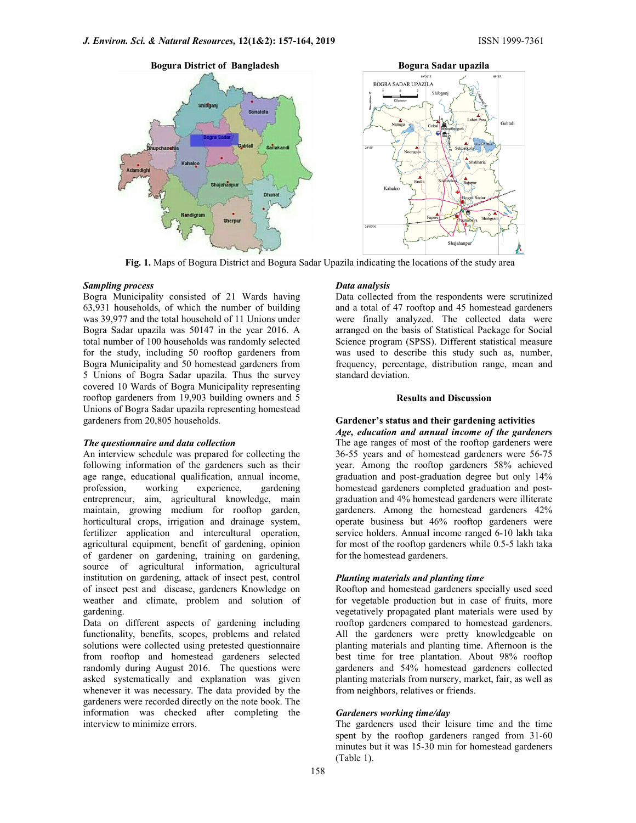

Fig. 1. Maps of Bogura District and Bogura Sadar Upazila indicating the locations of the study area

#### Sampling process

Bogra Municipality consisted of 21 Wards having 63,931 households, of which the number of building was 39,977 and the total household of 11 Unions under Bogra Sadar upazila was 50147 in the year 2016. A total number of 100 households was randomly selected for the study, including 50 rooftop gardeners from Bogra Municipality and 50 homestead gardeners from 5 Unions of Bogra Sadar upazila. Thus the survey covered 10 Wards of Bogra Municipality representing rooftop gardeners from 19,903 building owners and 5 Unions of Bogra Sadar upazila representing homestead gardeners from 20,805 households.

#### The questionnaire and data collection

An interview schedule was prepared for collecting the following information of the gardeners such as their age range, educational qualification, annual income, profession, working experience, gardening entrepreneur, aim, agricultural knowledge, main maintain, growing medium for rooftop garden, horticultural crops, irrigation and drainage system, fertilizer application and intercultural operation, agricultural equipment, benefit of gardening, opinion of gardener on gardening, training on gardening, source of agricultural information, agricultural institution on gardening, attack of insect pest, control of insect pest and disease, gardeners Knowledge on weather and climate, problem and solution of gardening.

Data on different aspects of gardening including functionality, benefits, scopes, problems and related solutions were collected using pretested questionnaire from rooftop and homestead gardeners selected randomly during August 2016. The questions were asked systematically and explanation was given whenever it was necessary. The data provided by the gardeners were recorded directly on the note book. The information was checked after completing the interview to minimize errors.

### Data analysis

Data collected from the respondents were scrutinized and a total of 47 rooftop and 45 homestead gardeners were finally analyzed. The collected data were arranged on the basis of Statistical Package for Social Science program (SPSS). Different statistical measure was used to describe this study such as, number, frequency, percentage, distribution range, mean and standard deviation.

#### Results and Discussion

# Gardener's status and their gardening activities

Age, education and annual income of the gardeners The age ranges of most of the rooftop gardeners were 36-55 years and of homestead gardeners were 56-75 year. Among the rooftop gardeners 58% achieved graduation and post-graduation degree but only 14% homestead gardeners completed graduation and postgraduation and 4% homestead gardeners were illiterate gardeners. Among the homestead gardeners 42% operate business but 46% rooftop gardeners were service holders. Annual income ranged 6-10 lakh taka for most of the rooftop gardeners while 0.5-5 lakh taka for the homestead gardeners.

### Planting materials and planting time

Rooftop and homestead gardeners specially used seed for vegetable production but in case of fruits, more vegetatively propagated plant materials were used by rooftop gardeners compared to homestead gardeners. All the gardeners were pretty knowledgeable on planting materials and planting time. Afternoon is the best time for tree plantation. About 98% rooftop gardeners and 54% homestead gardeners collected planting materials from nursery, market, fair, as well as from neighbors, relatives or friends.

# Gardeners working time/day

The gardeners used their leisure time and the time spent by the rooftop gardeners ranged from 31-60 minutes but it was 15-30 min for homestead gardeners (Table 1).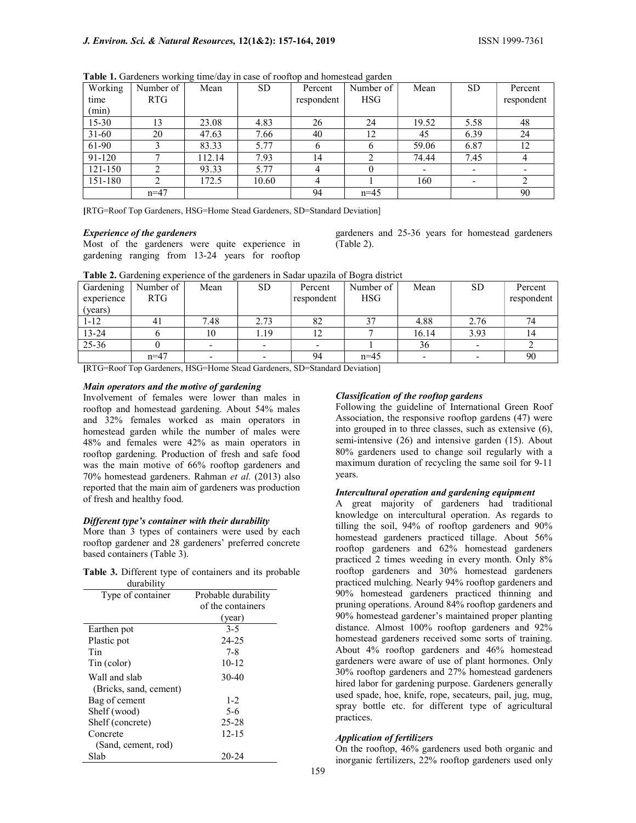| Working<br>time | Number of<br><b>RTG</b> | Mean   | SD.   | Percent<br>respondent | Number of<br><b>HSG</b> | Mean  | <b>SD</b> | Percent<br>respondent |
|-----------------|-------------------------|--------|-------|-----------------------|-------------------------|-------|-----------|-----------------------|
| (min)           |                         |        |       |                       |                         |       |           |                       |
| $15 - 30$       | 13                      | 23.08  | 4.83  | 26                    | 24                      | 19.52 | 5.58      | 48                    |
| $31 - 60$       | 20                      | 47.63  | 7.66  | 40                    | 12                      | 45    | 6.39      | 24                    |
| 61-90           |                         | 83.33  | 5.77  |                       |                         | 59.06 | 6.87      | 12                    |
| 91-120          |                         | 112.14 | 7.93  | 14                    |                         | 74.44 | 7.45      | 4                     |
| $121 - 150$     |                         | 93.33  | 5.77  |                       |                         |       |           |                       |
| 151-180         |                         | 172.5  | 10.60 |                       |                         | 160   |           |                       |
|                 | $n=47$                  |        |       | 94                    | $n=45$                  |       |           | 90                    |

Table 1. Gardeners working time/day in case of rooftop and homestead garden

[RTG=Roof Top Gardeners, HSG=Home Stead Gardeners, SD=Standard Deviation]

### Experience of the gardeners

Most of the gardeners were quite experience in gardening ranging from 13-24 years for rooftop gardeners and 25-36 years for homestead gardeners (Table 2).

| <b>Table 2.</b> Gardening experience of the gardeners in Sadar upazita of Bogra district |           |      |           |            |            |       |           |            |
|------------------------------------------------------------------------------------------|-----------|------|-----------|------------|------------|-------|-----------|------------|
| Gardening                                                                                | Number of | Mean | <b>SD</b> | Percent    | Number of  | Mean  | <b>SD</b> | Percent    |
| experience                                                                               | RTG.      |      |           | respondent | <b>HSG</b> |       |           | respondent |
| (years)                                                                                  |           |      |           |            |            |       |           |            |
| $1 - 12$                                                                                 | 41        | 7.48 | 2.73      | 82         | 27         | 4.88  | 2.76      | 74         |
| $13 - 24$                                                                                |           | 10   | 1.19      |            |            | 16.14 | 3.93      | 14         |
| $25 - 36$                                                                                |           |      |           |            |            | 36    |           |            |
|                                                                                          | $n=47$    |      |           | 94         | $n=45$     |       |           | 90         |
| _____<br>-------<br>.<br>__ _ _ _ _ _ _<br>$\sim$ $-$                                    |           |      |           |            |            |       |           |            |

Table 2. Gardening experience of the gardeners in Sadar upazila of Bogra district

[RTG=Roof Top Gardeners, HSG=Home Stead Gardeners, SD=Standard Deviation]

#### Main operators and the motive of gardening

Involvement of females were lower than males in rooftop and homestead gardening. About 54% males and 32% females worked as main operators in homestead garden while the number of males were 48% and females were 42% as main operators in rooftop gardening. Production of fresh and safe food was the main motive of 66% rooftop gardeners and 70% homestead gardeners. Rahman et al. (2013) also reported that the main aim of gardeners was production of fresh and healthy food.

### Different type's container with their durability

More than 3 types of containers were used by each rooftop gardener and 28 gardeners' preferred concrete based containers (Table 3).

Table 3. Different type of containers and its probable durability

| Type of container      | Probable durability |
|------------------------|---------------------|
|                        | of the containers   |
|                        | (year)              |
| Earthen pot            | $3-5$               |
| Plastic pot            | 24-25               |
| Tin                    | $7 - 8$             |
| Tin (color)            | $10 - 12$           |
| Wall and slab          | $30-40$             |
| (Bricks, sand, cement) |                     |
| Bag of cement          | $1-2$               |
| Shelf (wood)           | $5-6$               |
| Shelf (concrete)       | $25 - 28$           |
| Concrete               | 12-15               |
| (Sand, cement, rod)    |                     |
| Slab                   | 20-24               |

#### Classification of the rooftop gardens

Following the guideline of International Green Roof Association, the responsive rooftop gardens (47) were into grouped in to three classes, such as extensive (6), semi-intensive (26) and intensive garden (15). About 80% gardeners used to change soil regularly with a maximum duration of recycling the same soil for 9-11 years.

#### Intercultural operation and gardening equipment

A great majority of gardeners had traditional knowledge on intercultural operation. As regards to tilling the soil, 94% of rooftop gardeners and 90% homestead gardeners practiced tillage. About 56% rooftop gardeners and 62% homestead gardeners practiced 2 times weeding in every month. Only 8% rooftop gardeners and 30% homestead gardeners practiced mulching. Nearly 94% rooftop gardeners and 90% homestead gardeners practiced thinning and pruning operations. Around 84% rooftop gardeners and 90% homestead gardener's maintained proper planting distance. Almost 100% rooftop gardeners and 92% homestead gardeners received some sorts of training. About 4% rooftop gardeners and 46% homestead gardeners were aware of use of plant hormones. Only 30% rooftop gardeners and 27% homestead gardeners hired labor for gardening purpose. Gardeners generally used spade, hoe, knife, rope, secateurs, pail, jug, mug, spray bottle etc. for different type of agricultural practices.

# Application of fertilizers

On the rooftop, 46% gardeners used both organic and inorganic fertilizers, 22% rooftop gardeners used only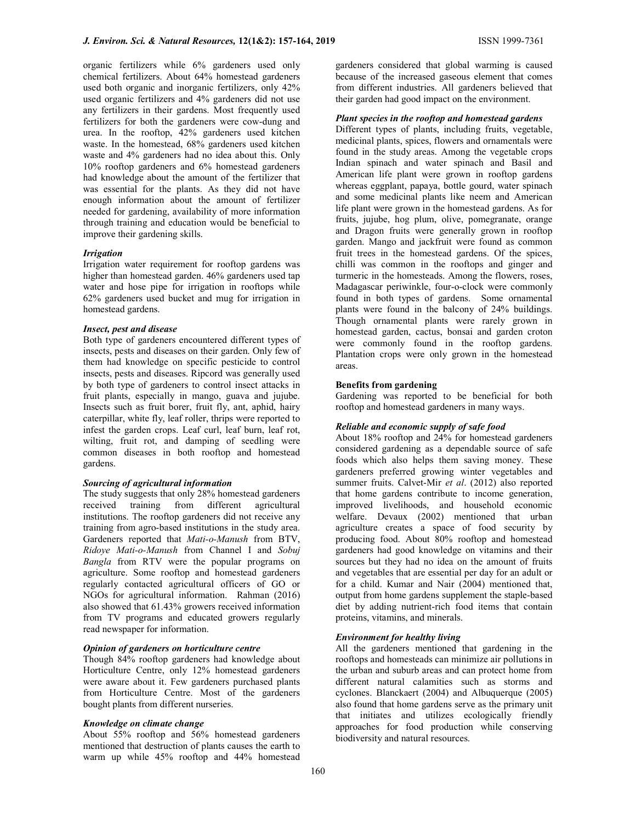organic fertilizers while 6% gardeners used only chemical fertilizers. About 64% homestead gardeners used both organic and inorganic fertilizers, only 42% used organic fertilizers and 4% gardeners did not use any fertilizers in their gardens. Most frequently used fertilizers for both the gardeners were cow-dung and urea. In the rooftop, 42% gardeners used kitchen waste. In the homestead, 68% gardeners used kitchen waste and 4% gardeners had no idea about this. Only 10% rooftop gardeners and 6% homestead gardeners had knowledge about the amount of the fertilizer that was essential for the plants. As they did not have enough information about the amount of fertilizer needed for gardening, availability of more information through training and education would be beneficial to improve their gardening skills.

### **Irrigation**

Irrigation water requirement for rooftop gardens was higher than homestead garden. 46% gardeners used tap water and hose pipe for irrigation in rooftops while 62% gardeners used bucket and mug for irrigation in homestead gardens.

#### Insect, pest and disease

Both type of gardeners encountered different types of insects, pests and diseases on their garden. Only few of them had knowledge on specific pesticide to control insects, pests and diseases. Ripcord was generally used by both type of gardeners to control insect attacks in fruit plants, especially in mango, guava and jujube. Insects such as fruit borer, fruit fly, ant, aphid, hairy caterpillar, white fly, leaf roller, thrips were reported to infest the garden crops. Leaf curl, leaf burn, leaf rot, wilting, fruit rot, and damping of seedling were common diseases in both rooftop and homestead gardens.

#### Sourcing of agricultural information

The study suggests that only 28% homestead gardeners received training from different agricultural institutions. The rooftop gardeners did not receive any training from agro-based institutions in the study area. Gardeners reported that Mati-o-Manush from BTV, Ridoye Mati-o-Manush from Channel I and Sobuj Bangla from RTV were the popular programs on agriculture. Some rooftop and homestead gardeners regularly contacted agricultural officers of GO or NGOs for agricultural information. Rahman (2016) also showed that 61.43% growers received information from TV programs and educated growers regularly read newspaper for information.

#### Opinion of gardeners on horticulture centre

Though 84% rooftop gardeners had knowledge about Horticulture Centre, only 12% homestead gardeners were aware about it. Few gardeners purchased plants from Horticulture Centre. Most of the gardeners bought plants from different nurseries.

#### Knowledge on climate change

About 55% rooftop and 56% homestead gardeners mentioned that destruction of plants causes the earth to warm up while 45% rooftop and 44% homestead gardeners considered that global warming is caused because of the increased gaseous element that comes from different industries. All gardeners believed that their garden had good impact on the environment.

#### Plant species in the rooftop and homestead gardens

Different types of plants, including fruits, vegetable, medicinal plants, spices, flowers and ornamentals were found in the study areas. Among the vegetable crops Indian spinach and water spinach and Basil and American life plant were grown in rooftop gardens whereas eggplant, papaya, bottle gourd, water spinach and some medicinal plants like neem and American life plant were grown in the homestead gardens. As for fruits, jujube, hog plum, olive, pomegranate, orange and Dragon fruits were generally grown in rooftop garden. Mango and jackfruit were found as common fruit trees in the homestead gardens. Of the spices, chilli was common in the rooftops and ginger and turmeric in the homesteads. Among the flowers, roses, Madagascar periwinkle, four-o-clock were commonly found in both types of gardens. Some ornamental plants were found in the balcony of 24% buildings. Though ornamental plants were rarely grown in homestead garden, cactus, bonsai and garden croton were commonly found in the rooftop gardens. Plantation crops were only grown in the homestead areas.

### Benefits from gardening

Gardening was reported to be beneficial for both rooftop and homestead gardeners in many ways.

# Reliable and economic supply of safe food

About 18% rooftop and 24% for homestead gardeners considered gardening as a dependable source of safe foods which also helps them saving money. These gardeners preferred growing winter vegetables and summer fruits. Calvet-Mir et al. (2012) also reported that home gardens contribute to income generation, improved livelihoods, and household economic welfare. Devaux (2002) mentioned that urban agriculture creates a space of food security by producing food. About 80% rooftop and homestead gardeners had good knowledge on vitamins and their sources but they had no idea on the amount of fruits and vegetables that are essential per day for an adult or for a child. Kumar and Nair (2004) mentioned that, output from home gardens supplement the staple-based diet by adding nutrient-rich food items that contain proteins, vitamins, and minerals.

# Environment for healthy living

All the gardeners mentioned that gardening in the rooftops and homesteads can minimize air pollutions in the urban and suburb areas and can protect home from different natural calamities such as storms and cyclones. Blanckaert (2004) and Albuquerque (2005) also found that home gardens serve as the primary unit that initiates and utilizes ecologically friendly approaches for food production while conserving biodiversity and natural resources.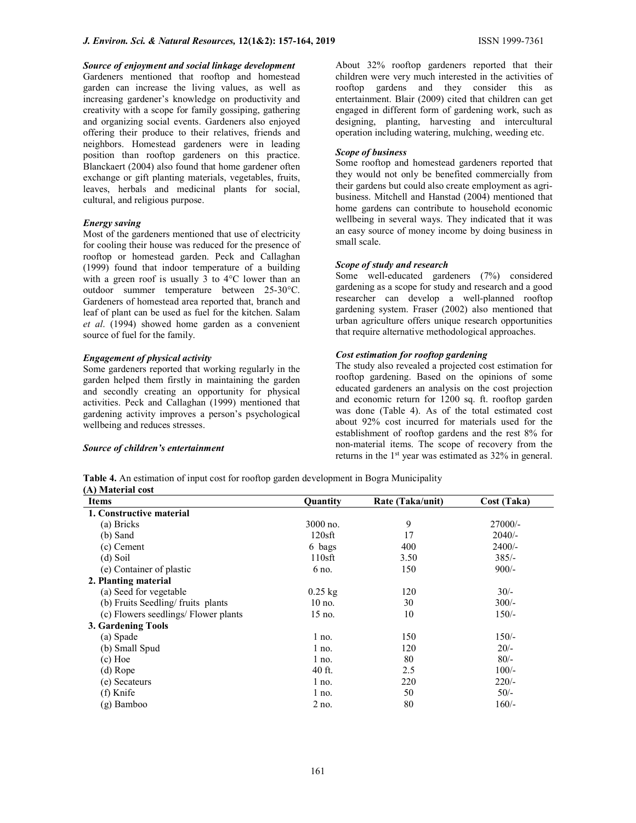Source of enjoyment and social linkage development Gardeners mentioned that rooftop and homestead garden can increase the living values, as well as increasing gardener's knowledge on productivity and creativity with a scope for family gossiping, gathering and organizing social events. Gardeners also enjoyed offering their produce to their relatives, friends and neighbors. Homestead gardeners were in leading position than rooftop gardeners on this practice. Blanckaert (2004) also found that home gardener often exchange or gift planting materials, vegetables, fruits, leaves, herbals and medicinal plants for social, cultural, and religious purpose.

#### Energy saving

Most of the gardeners mentioned that use of electricity for cooling their house was reduced for the presence of rooftop or homestead garden. Peck and Callaghan (1999) found that indoor temperature of a building with a green roof is usually 3 to 4°C lower than an outdoor summer temperature between 25-30°C. Gardeners of homestead area reported that, branch and leaf of plant can be used as fuel for the kitchen. Salam et al. (1994) showed home garden as a convenient source of fuel for the family.

#### Engagement of physical activity

Some gardeners reported that working regularly in the garden helped them firstly in maintaining the garden and secondly creating an opportunity for physical activities. Peck and Callaghan (1999) mentioned that gardening activity improves a person's psychological wellbeing and reduces stresses.

#### Source of children's entertainment

About 32% rooftop gardeners reported that their children were very much interested in the activities of rooftop gardens and they consider this as entertainment. Blair (2009) cited that children can get engaged in different form of gardening work, such as designing, planting, harvesting and intercultural operation including watering, mulching, weeding etc.

#### Scope of business

Some rooftop and homestead gardeners reported that they would not only be benefited commercially from their gardens but could also create employment as agribusiness. Mitchell and Hanstad (2004) mentioned that home gardens can contribute to household economic wellbeing in several ways. They indicated that it was an easy source of money income by doing business in small scale.

### Scope of study and research

Some well-educated gardeners (7%) considered gardening as a scope for study and research and a good researcher can develop a well-planned rooftop gardening system. Fraser (2002) also mentioned that urban agriculture offers unique research opportunities that require alternative methodological approaches.

### Cost estimation for rooftop gardening

The study also revealed a projected cost estimation for rooftop gardening. Based on the opinions of some educated gardeners an analysis on the cost projection and economic return for 1200 sq. ft. rooftop garden was done (Table 4). As of the total estimated cost about 92% cost incurred for materials used for the establishment of rooftop gardens and the rest 8% for non-material items. The scope of recovery from the returns in the 1<sup>st</sup> year was estimated as 32% in general.

Table 4. An estimation of input cost for rooftop garden development in Bogra Municipality (A) Material cost

| <b>Items</b>                         | <b>Ouantity</b> | Rate (Taka/unit) | Cost (Taka) |  |  |
|--------------------------------------|-----------------|------------------|-------------|--|--|
| 1. Constructive material             |                 |                  |             |  |  |
| (a) Bricks                           | 3000 no.        | 9                | $27000/-$   |  |  |
| $(b)$ Sand                           | $120$ sft       | 17               | $2040/-$    |  |  |
| $(c)$ Cement                         | 6 bags          | 400              | $2400/-$    |  |  |
| $(d)$ Soil                           | $110$ sft       | 3.50             | $385/-$     |  |  |
| (e) Container of plastic             | 6 no.           | 150              | $900/-$     |  |  |
| 2. Planting material                 |                 |                  |             |  |  |
| (a) Seed for vegetable               | $0.25$ kg       | 120              | $30/-$      |  |  |
| (b) Fruits Seedling/fruits plants    | $10$ no.        | 30               | $300/-$     |  |  |
| (c) Flowers seedlings/ Flower plants | 15 no.          | 10               | $150/-$     |  |  |
| 3. Gardening Tools                   |                 |                  |             |  |  |
| (a) Spade                            | l no.           | 150              | $150/-$     |  |  |
| (b) Small Spud                       | $1$ no.         | 120              | $20/-$      |  |  |
| $(c)$ Hoe                            | $1$ no.         | 80               | $80/-$      |  |  |
| (d) Rope                             | 40 ft.          | 2.5              | $100/-$     |  |  |
| (e) Secateurs                        | l no.           | 220              | $220/-$     |  |  |
| (f) Knife                            | $1$ no.         | 50               | $50/-$      |  |  |
| (g) Bamboo                           | 2 no.           | 80               | $160/-$     |  |  |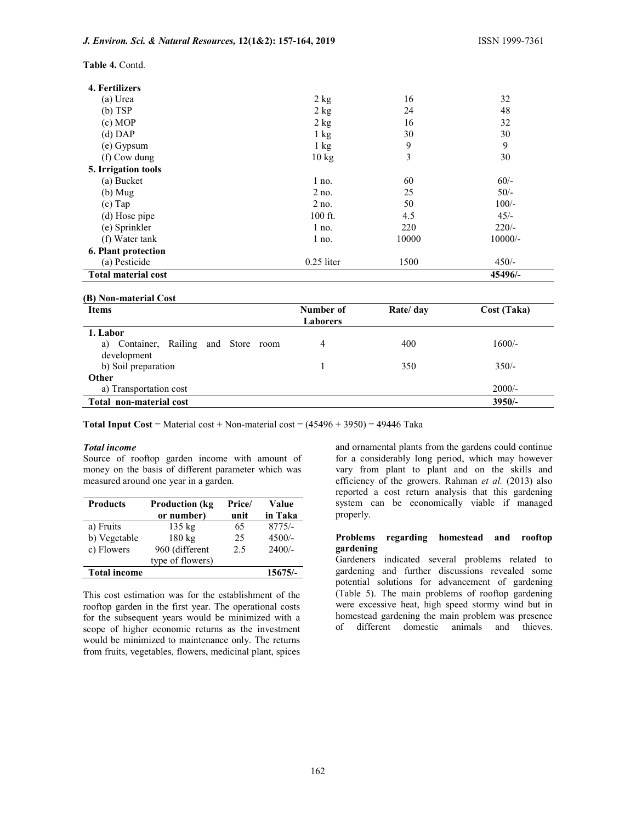Table 4. Contd.

| 2 kg                       | 16    | 32        |  |  |  |  |
|----------------------------|-------|-----------|--|--|--|--|
| $2$ kg                     | 24    | 48        |  |  |  |  |
| $2$ kg                     | 16    | 32        |  |  |  |  |
| $1 \text{ kg}$             | 30    | 30        |  |  |  |  |
| $1 \text{ kg}$             | 9     | 9         |  |  |  |  |
| $10 \text{ kg}$            | 3     | 30        |  |  |  |  |
|                            |       |           |  |  |  |  |
| $1$ no.                    | 60    | $60/-$    |  |  |  |  |
| $2$ no.                    | 25    | $50/-$    |  |  |  |  |
| $2$ no.                    | 50    | $100/-$   |  |  |  |  |
| 100 ft.                    | 4.5   | $45/-$    |  |  |  |  |
| $1$ no.                    | 220   | $220/-$   |  |  |  |  |
| $1$ no.                    | 10000 | $10000/-$ |  |  |  |  |
|                            |       |           |  |  |  |  |
| $0.25$ liter               | 1500  | $450/-$   |  |  |  |  |
| <b>Total material cost</b> |       |           |  |  |  |  |
|                            |       |           |  |  |  |  |

# (B) Non-material Cost

| <b>Items</b>                            | Number of<br><b>Laborers</b> | Rate/ day | Cost (Taka) |
|-----------------------------------------|------------------------------|-----------|-------------|
| 1. Labor                                |                              |           |             |
| Container, Railing and Store room<br>a) | 4                            | 400       | $1600/-$    |
| development<br>b) Soil preparation      |                              | 350       | $350/-$     |
|                                         |                              |           |             |
| Other                                   |                              |           |             |
| a) Transportation cost                  |                              |           | $2000/-$    |
| Total non-material cost                 |                              |           | $3950/-$    |

**Total Input Cost** = Material cost + Non-material cost =  $(45496 + 3950) = 49446$  Taka

#### Total income

Source of rooftop garden income with amount of money on the basis of different parameter which was measured around one year in a garden.

| <b>Products</b>     | <b>Production (kg)</b> | Price/ | Value     |
|---------------------|------------------------|--------|-----------|
|                     | or number)             | unit   | in Taka   |
| a) Fruits           | $135 \text{ kg}$       | 65     | $8775/-$  |
| b) Vegetable        | 180 kg                 | 25     | $4500/-$  |
| c) Flowers          | 960 (different         | 2.5    | $2400/-$  |
|                     | type of flowers)       |        |           |
| <b>Total income</b> |                        |        | $15675/-$ |

This cost estimation was for the establishment of the rooftop garden in the first year. The operational costs for the subsequent years would be minimized with a scope of higher economic returns as the investment would be minimized to maintenance only. The returns from fruits, vegetables, flowers, medicinal plant, spices

and ornamental plants from the gardens could continue for a considerably long period, which may however vary from plant to plant and on the skills and efficiency of the growers. Rahman et al. (2013) also reported a cost return analysis that this gardening system can be economically viable if managed properly.

### Problems regarding homestead and rooftop gardening

Gardeners indicated several problems related to gardening and further discussions revealed some potential solutions for advancement of gardening (Table 5). The main problems of rooftop gardening were excessive heat, high speed stormy wind but in homestead gardening the main problem was presence of different domestic animals and thieves.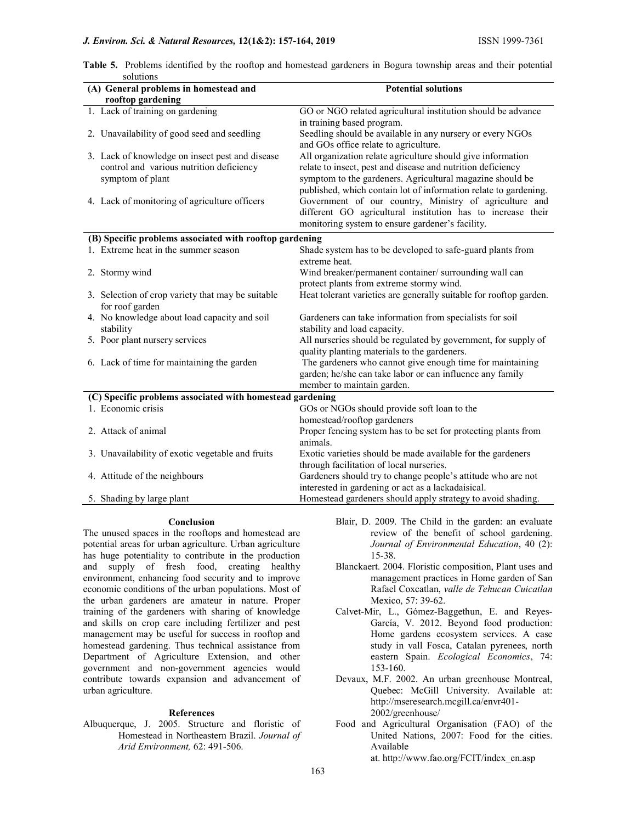# J. Environ. Sci. & Natural Resources, 12(1&2): 157-164, 2019 ISSN 1999-7361

|           |  |  | Table 5. Problems identified by the rooftop and homestead gardeners in Bogura township areas and their potential |  |  |  |  |
|-----------|--|--|------------------------------------------------------------------------------------------------------------------|--|--|--|--|
| solutions |  |  |                                                                                                                  |  |  |  |  |

| (A) General problems in homestead and                     | <b>Potential solutions</b>                                         |  |  |  |  |  |
|-----------------------------------------------------------|--------------------------------------------------------------------|--|--|--|--|--|
| rooftop gardening                                         |                                                                    |  |  |  |  |  |
| 1. Lack of training on gardening                          | GO or NGO related agricultural institution should be advance       |  |  |  |  |  |
|                                                           | in training based program.                                         |  |  |  |  |  |
| 2. Unavailability of good seed and seedling               | Seedling should be available in any nursery or every NGOs          |  |  |  |  |  |
|                                                           | and GOs office relate to agriculture.                              |  |  |  |  |  |
| 3. Lack of knowledge on insect pest and disease           | All organization relate agriculture should give information        |  |  |  |  |  |
| control and various nutrition deficiency                  | relate to insect, pest and disease and nutrition deficiency        |  |  |  |  |  |
| symptom of plant                                          | symptom to the gardeners. Agricultural magazine should be          |  |  |  |  |  |
|                                                           | published, which contain lot of information relate to gardening.   |  |  |  |  |  |
| 4. Lack of monitoring of agriculture officers             | Government of our country, Ministry of agriculture and             |  |  |  |  |  |
|                                                           | different GO agricultural institution has to increase their        |  |  |  |  |  |
|                                                           | monitoring system to ensure gardener's facility.                   |  |  |  |  |  |
| (B) Specific problems associated with rooftop gardening   |                                                                    |  |  |  |  |  |
| 1. Extreme heat in the summer season                      | Shade system has to be developed to safe-guard plants from         |  |  |  |  |  |
|                                                           | extreme heat.                                                      |  |  |  |  |  |
| 2. Stormy wind                                            | Wind breaker/permanent container/ surrounding wall can             |  |  |  |  |  |
|                                                           | protect plants from extreme stormy wind.                           |  |  |  |  |  |
| 3. Selection of crop variety that may be suitable         | Heat tolerant varieties are generally suitable for rooftop garden. |  |  |  |  |  |
| for roof garden                                           |                                                                    |  |  |  |  |  |
| 4. No knowledge about load capacity and soil              | Gardeners can take information from specialists for soil           |  |  |  |  |  |
| stability                                                 | stability and load capacity.                                       |  |  |  |  |  |
| 5. Poor plant nursery services                            | All nurseries should be regulated by government, for supply of     |  |  |  |  |  |
|                                                           | quality planting materials to the gardeners.                       |  |  |  |  |  |
| 6. Lack of time for maintaining the garden                | The gardeners who cannot give enough time for maintaining          |  |  |  |  |  |
|                                                           | garden; he/she can take labor or can influence any family          |  |  |  |  |  |
|                                                           | member to maintain garden.                                         |  |  |  |  |  |
| (C) Specific problems associated with homestead gardening |                                                                    |  |  |  |  |  |
| 1. Economic crisis                                        | GOs or NGOs should provide soft loan to the                        |  |  |  |  |  |
|                                                           | homestead/rooftop gardeners                                        |  |  |  |  |  |
| 2. Attack of animal                                       | Proper fencing system has to be set for protecting plants from     |  |  |  |  |  |
|                                                           | animals.                                                           |  |  |  |  |  |
| 3. Unavailability of exotic vegetable and fruits          | Exotic varieties should be made available for the gardeners        |  |  |  |  |  |
|                                                           | through facilitation of local nurseries.                           |  |  |  |  |  |
| 4. Attitude of the neighbours                             | Gardeners should try to change people's attitude who are not       |  |  |  |  |  |
|                                                           | interested in gardening or act as a lackadaisical.                 |  |  |  |  |  |
| 5. Shading by large plant                                 | Homestead gardeners should apply strategy to avoid shading.        |  |  |  |  |  |

#### Conclusion

The unused spaces in the rooftops and homestead are potential areas for urban agriculture. Urban agriculture has huge potentiality to contribute in the production and supply of fresh food, creating healthy environment, enhancing food security and to improve economic conditions of the urban populations. Most of the urban gardeners are amateur in nature. Proper training of the gardeners with sharing of knowledge and skills on crop care including fertilizer and pest management may be useful for success in rooftop and homestead gardening. Thus technical assistance from Department of Agriculture Extension, and other government and non-government agencies would contribute towards expansion and advancement of urban agriculture.

#### References

Albuquerque, J. 2005. Structure and floristic of Homestead in Northeastern Brazil. Journal of Arid Environment, 62: 491-506.

- Blair, D. 2009. The Child in the garden: an evaluate review of the benefit of school gardening. Journal of Environmental Education, 40 (2): 15-38.
- Blanckaert. 2004. Floristic composition, Plant uses and management practices in Home garden of San Rafael Coxcatlan, valle de Tehucan Cuicatlan Mexico, 57: 39-62.
- Calvet-Mir, L., Gómez-Baggethun, E. and Reyes-García, V. 2012. Beyond food production: Home gardens ecosystem services. A case study in vall Fosca, Catalan pyrenees, north eastern Spain. Ecological Economics, 74: 153-160.
- Devaux, M.F. 2002. An urban greenhouse Montreal, Quebec: McGill University. Available at: http://mseresearch.mcgill.ca/envr401- 2002/greenhouse/
- Food and Agricultural Organisation (FAO) of the United Nations, 2007: Food for the cities. Available at. http://www.fao.org/FCIT/index\_en.asp